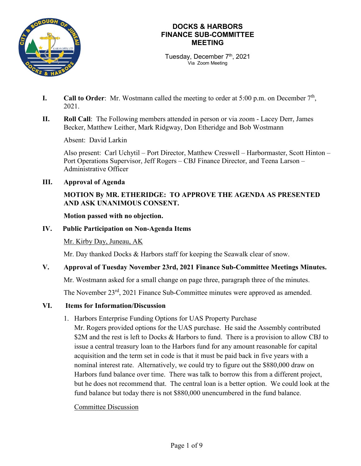

Tuesday, December 7<sup>th</sup>, 2021 Via Zoom Meeting

- **I.** Call to Order: Mr. Wostmann called the meeting to order at 5:00 p.m. on December  $7<sup>th</sup>$ , 2021.
- **II. Roll Call**: The Following members attended in person or via zoom Lacey Derr, James Becker, Matthew Leither, Mark Ridgway, Don Etheridge and Bob Wostmann

Absent: David Larkin

Also present: Carl Uchytil – Port Director, Matthew Creswell – Harbormaster, Scott Hinton – Port Operations Supervisor, Jeff Rogers – CBJ Finance Director, and Teena Larson – Administrative Officer

**III. Approval of Agenda**

## **MOTION By MR. ETHERIDGE: TO APPROVE THE AGENDA AS PRESENTED AND ASK UNANIMOUS CONSENT.**

#### **Motion passed with no objection.**

## **IV. Public Participation on Non-Agenda Items**

Mr. Kirby Day, Juneau, AK

Mr. Day thanked Docks & Harbors staff for keeping the Seawalk clear of snow.

#### **V. Approval of Tuesday November 23rd, 2021 Finance Sub-Committee Meetings Minutes.**

Mr. Wostmann asked for a small change on page three, paragraph three of the minutes.

The November 23<sup>rd</sup>, 2021 Finance Sub-Committee minutes were approved as amended.

# **VI. Items for Information/Discussion**

1. Harbors Enterprise Funding Options for UAS Property Purchase

Mr. Rogers provided options for the UAS purchase. He said the Assembly contributed \$2M and the rest is left to Docks & Harbors to fund. There is a provision to allow CBJ to issue a central treasury loan to the Harbors fund for any amount reasonable for capital acquisition and the term set in code is that it must be paid back in five years with a nominal interest rate. Alternatively, we could try to figure out the \$880,000 draw on Harbors fund balance over time. There was talk to borrow this from a different project, but he does not recommend that. The central loan is a better option. We could look at the fund balance but today there is not \$880,000 unencumbered in the fund balance.

#### Committee Discussion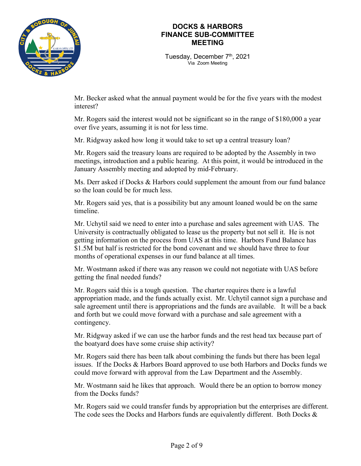

Tuesday, December 7<sup>th</sup>, 2021 Via Zoom Meeting

Mr. Becker asked what the annual payment would be for the five years with the modest interest?

Mr. Rogers said the interest would not be significant so in the range of \$180,000 a year over five years, assuming it is not for less time.

Mr. Ridgway asked how long it would take to set up a central treasury loan?

Mr. Rogers said the treasury loans are required to be adopted by the Assembly in two meetings, introduction and a public hearing. At this point, it would be introduced in the January Assembly meeting and adopted by mid-February.

Ms. Derr asked if Docks & Harbors could supplement the amount from our fund balance so the loan could be for much less.

Mr. Rogers said yes, that is a possibility but any amount loaned would be on the same timeline.

Mr. Uchytil said we need to enter into a purchase and sales agreement with UAS. The University is contractually obligated to lease us the property but not sell it. He is not getting information on the process from UAS at this time. Harbors Fund Balance has \$1.5M but half is restricted for the bond covenant and we should have three to four months of operational expenses in our fund balance at all times.

Mr. Wostmann asked if there was any reason we could not negotiate with UAS before getting the final needed funds?

Mr. Rogers said this is a tough question. The charter requires there is a lawful appropriation made, and the funds actually exist. Mr. Uchytil cannot sign a purchase and sale agreement until there is appropriations and the funds are available. It will be a back and forth but we could move forward with a purchase and sale agreement with a contingency.

Mr. Ridgway asked if we can use the harbor funds and the rest head tax because part of the boatyard does have some cruise ship activity?

Mr. Rogers said there has been talk about combining the funds but there has been legal issues. If the Docks & Harbors Board approved to use both Harbors and Docks funds we could move forward with approval from the Law Department and the Assembly.

Mr. Wostmann said he likes that approach. Would there be an option to borrow money from the Docks funds?

Mr. Rogers said we could transfer funds by appropriation but the enterprises are different. The code sees the Docks and Harbors funds are equivalently different. Both Docks &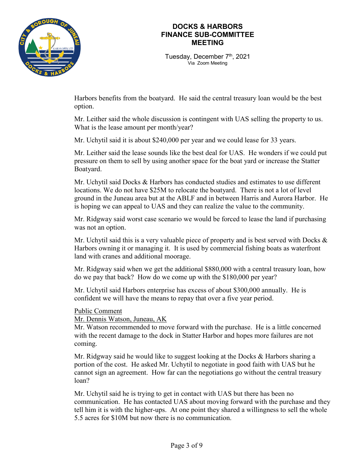

Tuesday, December 7<sup>th</sup>, 2021 Via Zoom Meeting

Harbors benefits from the boatyard. He said the central treasury loan would be the best option.

Mr. Leither said the whole discussion is contingent with UAS selling the property to us. What is the lease amount per month/year?

Mr. Uchytil said it is about \$240,000 per year and we could lease for 33 years.

Mr. Leither said the lease sounds like the best deal for UAS. He wonders if we could put pressure on them to sell by using another space for the boat yard or increase the Statter Boatyard.

Mr. Uchytil said Docks & Harbors has conducted studies and estimates to use different locations. We do not have \$25M to relocate the boatyard. There is not a lot of level ground in the Juneau area but at the ABLF and in between Harris and Aurora Harbor. He is hoping we can appeal to UAS and they can realize the value to the community.

Mr. Ridgway said worst case scenario we would be forced to lease the land if purchasing was not an option.

Mr. Uchytil said this is a very valuable piece of property and is best served with Docks  $\&$ Harbors owning it or managing it. It is used by commercial fishing boats as waterfront land with cranes and additional moorage.

Mr. Ridgway said when we get the additional \$880,000 with a central treasury loan, how do we pay that back? How do we come up with the \$180,000 per year?

Mr. Uchytil said Harbors enterprise has excess of about \$300,000 annually. He is confident we will have the means to repay that over a five year period.

Public Comment

Mr. Dennis Watson, Juneau, AK

Mr. Watson recommended to move forward with the purchase. He is a little concerned with the recent damage to the dock in Statter Harbor and hopes more failures are not coming.

Mr. Ridgway said he would like to suggest looking at the Docks  $\&$  Harbors sharing a portion of the cost. He asked Mr. Uchytil to negotiate in good faith with UAS but he cannot sign an agreement. How far can the negotiations go without the central treasury loan?

Mr. Uchytil said he is trying to get in contact with UAS but there has been no communication. He has contacted UAS about moving forward with the purchase and they tell him it is with the higher-ups. At one point they shared a willingness to sell the whole 5.5 acres for \$10M but now there is no communication.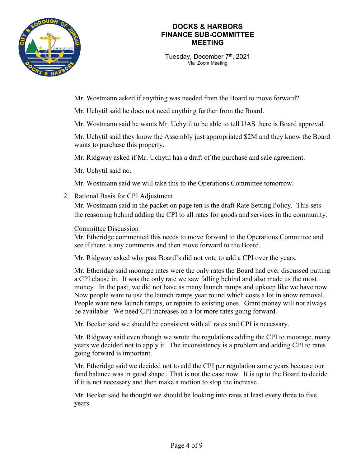

Tuesday, December 7<sup>th</sup>, 2021 Via Zoom Meeting

Mr. Wostmann asked if anything was needed from the Board to move forward?

Mr. Uchytil said he does not need anything further from the Board.

Mr. Wostmann said he wants Mr. Uchytil to be able to tell UAS there is Board approval.

Mr. Uchytil said they know the Assembly just appropriated \$2M and they know the Board wants to purchase this property.

Mr. Ridgway asked if Mr. Uchytil has a draft of the purchase and sale agreement.

Mr. Uchytil said no.

Mr. Wostmann said we will take this to the Operations Committee tomorrow.

2. Rational Basis for CPI Adjustment

Mr. Wostmann said in the packet on page ten is the draft Rate Setting Policy. This sets the reasoning behind adding the CPI to all rates for goods and services in the community.

#### Committee Discussion

Mr. Etheridge commented this needs to move forward to the Operations Committee and see if there is any comments and then move forward to the Board.

Mr. Ridgway asked why past Board's did not vote to add a CPI over the years.

Mr. Etheridge said moorage rates were the only rates the Board had ever discussed putting a CPI clause in. It was the only rate we saw falling behind and also made us the most money. In the past, we did not have as many launch ramps and upkeep like we have now. Now people want to use the launch ramps year round which costs a lot in snow removal. People want new launch ramps, or repairs to existing ones. Grant money will not always be available. We need CPI increases on a lot more rates going forward.

Mr. Becker said we should be consistent with all rates and CPI is necessary.

Mr. Ridgway said even though we wrote the regulations adding the CPI to moorage, many years we decided not to apply it. The inconsistency is a problem and adding CPI to rates going forward is important.

Mr. Etheridge said we decided not to add the CPI per regulation some years because our fund balance was in good shape. That is not the case now. It is up to the Board to decide if it is not necessary and then make a motion to stop the increase.

Mr. Becker said he thought we should be looking into rates at least every three to five years.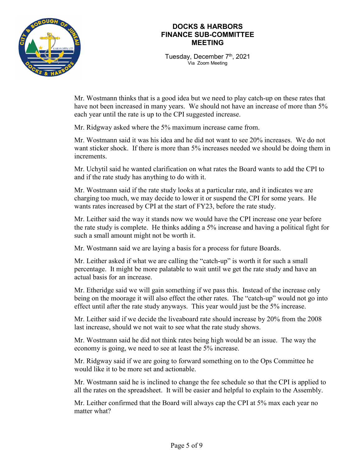

Tuesday, December 7<sup>th</sup>, 2021 Via Zoom Meeting

Mr. Wostmann thinks that is a good idea but we need to play catch-up on these rates that have not been increased in many years. We should not have an increase of more than 5% each year until the rate is up to the CPI suggested increase.

Mr. Ridgway asked where the 5% maximum increase came from.

Mr. Wostmann said it was his idea and he did not want to see 20% increases. We do not want sticker shock. If there is more than 5% increases needed we should be doing them in increments.

Mr. Uchytil said he wanted clarification on what rates the Board wants to add the CPI to and if the rate study has anything to do with it.

Mr. Wostmann said if the rate study looks at a particular rate, and it indicates we are charging too much, we may decide to lower it or suspend the CPI for some years. He wants rates increased by CPI at the start of FY23, before the rate study.

Mr. Leither said the way it stands now we would have the CPI increase one year before the rate study is complete. He thinks adding a 5% increase and having a political fight for such a small amount might not be worth it.

Mr. Wostmann said we are laying a basis for a process for future Boards.

Mr. Leither asked if what we are calling the "catch-up" is worth it for such a small percentage. It might be more palatable to wait until we get the rate study and have an actual basis for an increase.

Mr. Etheridge said we will gain something if we pass this. Instead of the increase only being on the moorage it will also effect the other rates. The "catch-up" would not go into effect until after the rate study anyways. This year would just be the 5% increase.

Mr. Leither said if we decide the liveaboard rate should increase by 20% from the 2008 last increase, should we not wait to see what the rate study shows.

Mr. Wostmann said he did not think rates being high would be an issue. The way the economy is going, we need to see at least the 5% increase.

Mr. Ridgway said if we are going to forward something on to the Ops Committee he would like it to be more set and actionable.

Mr. Wostmann said he is inclined to change the fee schedule so that the CPI is applied to all the rates on the spreadsheet. It will be easier and helpful to explain to the Assembly.

Mr. Leither confirmed that the Board will always cap the CPI at 5% max each year no matter what?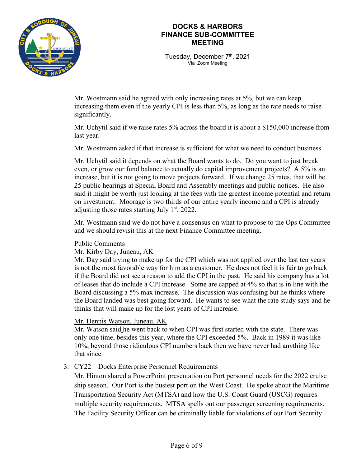

Tuesday, December 7<sup>th</sup>, 2021 Via Zoom Meeting

Mr. Wostmann said he agreed with only increasing rates at 5%, but we can keep increasing them even if the yearly CPI is less than 5%, as long as the rate needs to raise significantly.

Mr. Uchytil said if we raise rates 5% across the board it is about a \$150,000 increase from last year.

Mr. Wostmann asked if that increase is sufficient for what we need to conduct business.

Mr. Uchytil said it depends on what the Board wants to do. Do you want to just break even, or grow our fund balance to actually do capital improvement projects? A 5% is an increase, but it is not going to move projects forward. If we change 25 rates, that will be 25 public hearings at Special Board and Assembly meetings and public notices. He also said it might be worth just looking at the fees with the greatest income potential and return on investment. Moorage is two thirds of our entire yearly income and a CPI is already adjusting those rates starting July  $1<sup>st</sup>$ , 2022.

Mr. Wostmann said we do not have a consensus on what to propose to the Ops Committee and we should revisit this at the next Finance Committee meeting.

#### Public Comments

Mr. Kirby Day, Juneau, AK

Mr. Day said trying to make up for the CPI which was not applied over the last ten years is not the most favorable way for him as a customer. He does not feel it is fair to go back if the Board did not see a reason to add the CPI in the past. He said his company has a lot of leases that do include a CPI increase. Some are capped at 4% so that is in line with the Board discussing a 5% max increase. The discussion was confusing but he thinks where the Board landed was best going forward. He wants to see what the rate study says and he thinks that will make up for the lost years of CPI increase.

#### Mr. Dennis Watson, Juneau, AK

Mr. Watson said he went back to when CPI was first started with the state. There was only one time, besides this year, where the CPI exceeded 5%. Back in 1989 it was like 10%, beyond those ridiculous CPI numbers back then we have never had anything like that since.

#### 3. CY22 – Docks Enterprise Personnel Requirements

Mr. Hinton shared a PowerPoint presentation on Port personnel needs for the 2022 cruise ship season. Our Port is the busiest port on the West Coast. He spoke about the Maritime Transportation Security Act (MTSA) and how the U.S. Coast Guard (USCG) requires multiple security requirements. MTSA spells out our passenger screening requirements. The Facility Security Officer can be criminally liable for violations of our Port Security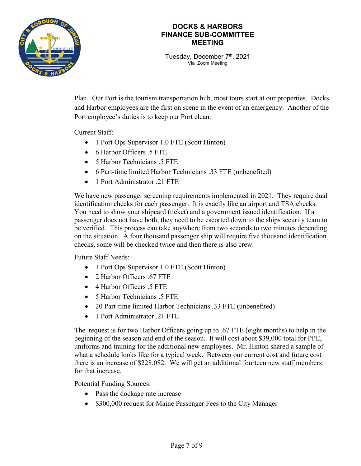

Tuesday, December 7<sup>th</sup>, 2021 Via Zoom Meeting

Plan. Our Port is the tourism transportation hub, most tours start at our properties. Docks and Harbor employees are the first on scene in the event of an emergency. Another of the Port employee's duties is to keep our Port clean.

Current Staff:

- 1 Port Ops Supervisor 1.0 FTE (Scott Hinton)
- 6 Harbor Officers .5 FTE
- 5 Harbor Technicians .5 FTE
- 6 Part-time limited Harbor Technicians .33 FTE (unbenefited)
- 1 Port Administrator .21 FTE

We have new passenger screening requirements implemented in 2021. They require dual identification checks for each passenger. It is exactly like an airport and TSA checks. You need to show your shipcard (ticket) and a government issued identification. If a passenger does not have both, they need to be escorted down to the ships security team to be verified. This process can take anywhere from two seconds to two minutes depending on the situation. A four thousand passenger ship will require five thousand identification checks, some will be checked twice and then there is also crew.

Future Staff Needs:

- 1 Port Ops Supervisor 1.0 FTE (Scott Hinton)
- 2 Harbor Officers .67 FTE
- 4 Harbor Officers .5 FTE
- 5 Harbor Technicians .5 FTE
- 20 Part-time limited Harbor Technicians .33 FTE (unbenefited)
- 1 Port Administrator .21 FTE

The request is for two Harbor Officers going up to .67 FTE (eight months) to help in the beginning of the season and end of the season. It will cost about \$39,000 total for PPE, uniforms and training for the additional new employees. Mr. Hinton shared a sample of what a schedule looks like for a typical week. Between our current cost and future cost there is an increase of \$228,082. We will get an additional fourteen new staff members for that increase.

Potential Funding Sources:

- Pass the dockage rate increase
- \$300,000 request for Maine Passenger Fees to the City Manager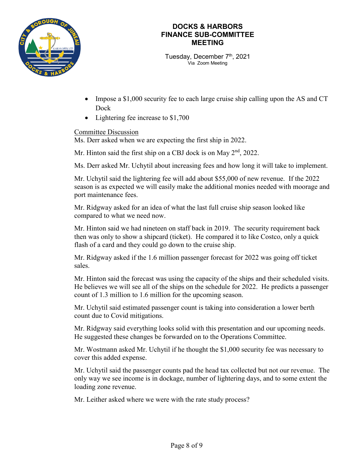

Tuesday, December 7<sup>th</sup>, 2021 Via Zoom Meeting

- Impose a \$1,000 security fee to each large cruise ship calling upon the AS and CT Dock
- Lightering fee increase to \$1,700

#### Committee Discussion

Ms. Derr asked when we are expecting the first ship in 2022.

Mr. Hinton said the first ship on a CBJ dock is on May  $2<sup>nd</sup>$ , 2022.

Ms. Derr asked Mr. Uchytil about increasing fees and how long it will take to implement.

Mr. Uchytil said the lightering fee will add about \$55,000 of new revenue. If the 2022 season is as expected we will easily make the additional monies needed with moorage and port maintenance fees.

Mr. Ridgway asked for an idea of what the last full cruise ship season looked like compared to what we need now.

Mr. Hinton said we had nineteen on staff back in 2019. The security requirement back then was only to show a shipcard (ticket). He compared it to like Costco, only a quick flash of a card and they could go down to the cruise ship.

Mr. Ridgway asked if the 1.6 million passenger forecast for 2022 was going off ticket sales.

Mr. Hinton said the forecast was using the capacity of the ships and their scheduled visits. He believes we will see all of the ships on the schedule for 2022. He predicts a passenger count of 1.3 million to 1.6 million for the upcoming season.

Mr. Uchytil said estimated passenger count is taking into consideration a lower berth count due to Covid mitigations.

Mr. Ridgway said everything looks solid with this presentation and our upcoming needs. He suggested these changes be forwarded on to the Operations Committee.

Mr. Wostmann asked Mr. Uchytil if he thought the \$1,000 security fee was necessary to cover this added expense.

Mr. Uchytil said the passenger counts pad the head tax collected but not our revenue. The only way we see income is in dockage, number of lightering days, and to some extent the loading zone revenue.

Mr. Leither asked where we were with the rate study process?